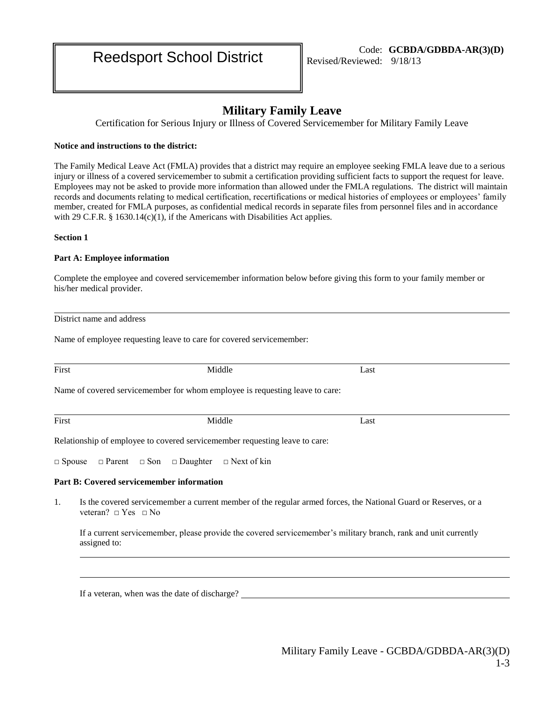# **Military Family Leave**

Certification for Serious Injury or Illness of Covered Servicemember for Military Family Leave

# **Notice and instructions to the district:**

The Family Medical Leave Act (FMLA) provides that a district may require an employee seeking FMLA leave due to a serious injury or illness of a covered servicemember to submit a certification providing sufficient facts to support the request for leave. Employees may not be asked to provide more information than allowed under the FMLA regulations. The district will maintain records and documents relating to medical certification, recertifications or medical histories of employees or employees' family member, created for FMLA purposes, as confidential medical records in separate files from personnel files and in accordance with 29 C.F.R.  $\S 1630.14(c)(1)$ , if the Americans with Disabilities Act applies.

**Section 1**

# **Part A: Employee information**

Complete the employee and covered servicemember information below before giving this form to your family member or his/her medical provider.

District name and address

Name of employee requesting leave to care for covered servicemember:

| First | Middle                                                                                                                                           | Last |  |  |
|-------|--------------------------------------------------------------------------------------------------------------------------------------------------|------|--|--|
|       | Name of covered servicemember for whom employee is requesting leave to care:                                                                     |      |  |  |
| First | Middle                                                                                                                                           | Last |  |  |
|       | Relationship of employee to covered servicemember requesting leave to care:                                                                      |      |  |  |
|       | $\Box$ Spouse $\Box$ Parent $\Box$ Son $\Box$ Daughter $\Box$ Next of kin                                                                        |      |  |  |
|       | <b>Part B: Covered servicemember information</b>                                                                                                 |      |  |  |
| 1.    | Is the covered servicemember a current member of the regular armed forces, the National Guard or Reserves, or a<br>veteran? $\Box$ Yes $\Box$ No |      |  |  |
|       | If a current servicemember, please provide the covered servicemember's military branch, rank and unit currently<br>assigned to:                  |      |  |  |

If a veteran, when was the date of discharge?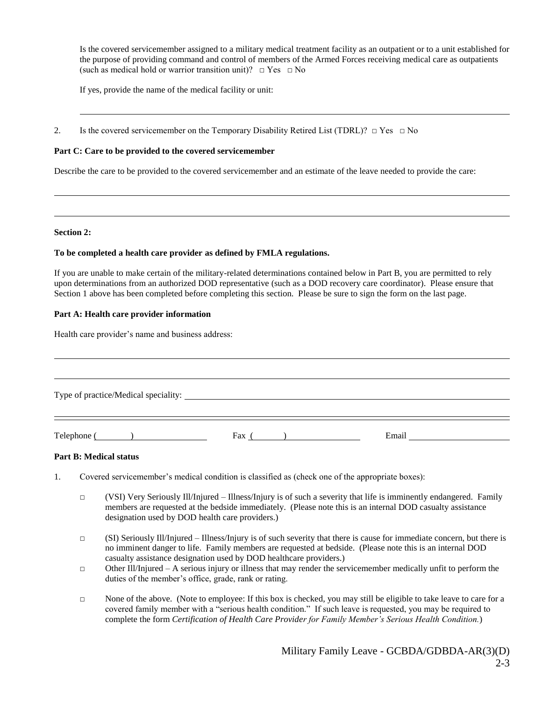Is the covered servicemember assigned to a military medical treatment facility as an outpatient or to a unit established for the purpose of providing command and control of members of the Armed Forces receiving medical care as outpatients (such as medical hold or warrior transition unit)?  $\Box$  Yes  $\Box$  No

If yes, provide the name of the medical facility or unit:

2. Is the covered servicemember on the Temporary Disability Retired List (TDRL)?  $\Box$  Yes  $\Box$  No

# **Part C: Care to be provided to the covered servicemember**

Describe the care to be provided to the covered servicemember and an estimate of the leave needed to provide the care:

#### **Section 2:**

## **To be completed a health care provider as defined by FMLA regulations.**

If you are unable to make certain of the military-related determinations contained below in Part B, you are permitted to rely upon determinations from an authorized DOD representative (such as a DOD recovery care coordinator). Please ensure that Section 1 above has been completed before completing this section. Please be sure to sign the form on the last page.

# **Part A: Health care provider information**

Health care provider's name and business address:

| $\text{Telephone}$ ( ) | Fax $($ $)$ | Email |  |  |  |  |
|------------------------|-------------|-------|--|--|--|--|

## **Part B: Medical status**

- 1. Covered servicemember's medical condition is classified as (check one of the appropriate boxes):
	- $\Box$  (VSI) Very Seriously Ill/Injured Illness/Injury is of such a severity that life is imminently endangered. Family members are requested at the bedside immediately. (Please note this is an internal DOD casualty assistance designation used by DOD health care providers.)
	- $\Box$  (SI) Seriously Ill/Injured Illness/Injury is of such severity that there is cause for immediate concern, but there is no imminent danger to life. Family members are requested at bedside. (Please note this is an internal DOD casualty assistance designation used by DOD healthcare providers.)
	- $\Box$  Other Ill/Injured A serious injury or illness that may render the servicemember medically unfit to perform the duties of the member's office, grade, rank or rating.
	- □ None of the above. (Note to employee: If this box is checked, you may still be eligible to take leave to care for a covered family member with a "serious health condition." If such leave is requested, you may be required to complete the form *Certification of Health Care Provider for Family Member's Serious Health Condition.*)